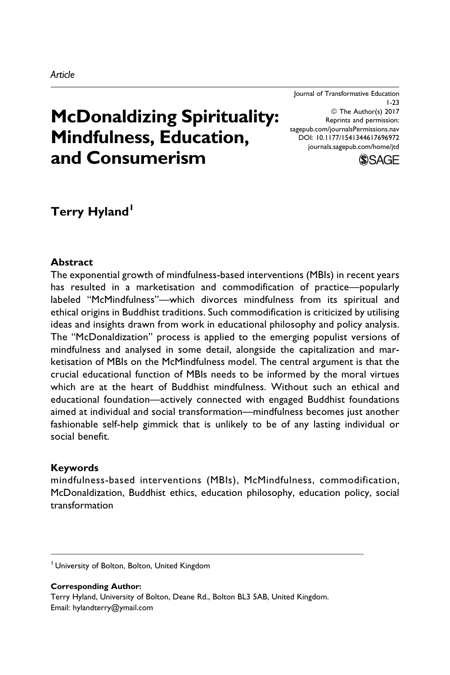McDonaldizing Spirituality: Mindfulness, Education, and Consumerism © The Author(s) 2017 Reprints and permission: [sagepub.com/journalsPermissions.nav](https://us.sagepub.com/en-us/journals-permissions) [DOI: 10.1177/1541344617696972](https://doi.org/10.1177/1541344617696972) [journals.sagepub.com/home/jtd](http://journals.sagepub.com/home/jtd)

**SSAGE** 

1-23

Journal of Transformative Education

Terry Hyland<sup>1</sup>

## Abstract

The exponential growth of mindfulness-based interventions (MBIs) in recent years has resulted in a marketisation and commodification of practice—popularly labeled "McMindfulness"—which divorces mindfulness from its spiritual and ethical origins in Buddhist traditions. Such commodification is criticized by utilising ideas and insights drawn from work in educational philosophy and policy analysis. The "McDonaldization" process is applied to the emerging populist versions of mindfulness and analysed in some detail, alongside the capitalization and marketisation of MBIs on the McMindfulness model. The central argument is that the crucial educational function of MBIs needs to be informed by the moral virtues which are at the heart of Buddhist mindfulness. Without such an ethical and educational foundation—actively connected with engaged Buddhist foundations aimed at individual and social transformation—mindfulness becomes just another fashionable self-help gimmick that is unlikely to be of any lasting individual or social benefit.

### Keywords

mindfulness-based interventions (MBIs), McMindfulness, commodification, McDonaldization, Buddhist ethics, education philosophy, education policy, social transformation

Corresponding Author: Terry Hyland, University of Bolton, Deane Rd., Bolton BL3 5AB, United Kingdom. Email: hylandterry@ymail.com

<sup>&</sup>lt;sup>1</sup> University of Bolton, Bolton, United Kingdom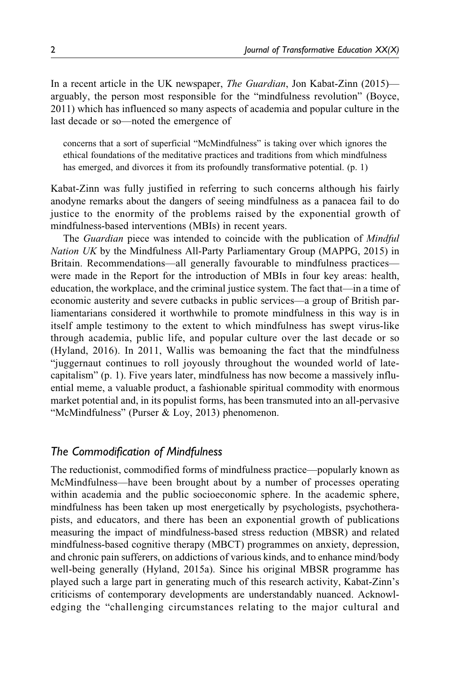In a recent article in the UK newspaper, *The Guardian*, Jon Kabat-Zinn (2015) arguably, the person most responsible for the "mindfulness revolution" (Boyce, 2011) which has influenced so many aspects of academia and popular culture in the last decade or so—noted the emergence of

concerns that a sort of superficial "McMindfulness" is taking over which ignores the ethical foundations of the meditative practices and traditions from which mindfulness has emerged, and divorces it from its profoundly transformative potential. (p. 1)

Kabat-Zinn was fully justified in referring to such concerns although his fairly anodyne remarks about the dangers of seeing mindfulness as a panacea fail to do justice to the enormity of the problems raised by the exponential growth of mindfulness-based interventions (MBIs) in recent years.

The *Guardian* piece was intended to coincide with the publication of *Mindful* Nation UK by the Mindfulness All-Party Parliamentary Group (MAPPG, 2015) in Britain. Recommendations—all generally favourable to mindfulness practices were made in the Report for the introduction of MBIs in four key areas: health, education, the workplace, and the criminal justice system. The fact that—in a time of economic austerity and severe cutbacks in public services—a group of British parliamentarians considered it worthwhile to promote mindfulness in this way is in itself ample testimony to the extent to which mindfulness has swept virus-like through academia, public life, and popular culture over the last decade or so (Hyland, 2016). In 2011, Wallis was bemoaning the fact that the mindfulness "juggernaut continues to roll joyously throughout the wounded world of latecapitalism" (p. 1). Five years later, mindfulness has now become a massively influential meme, a valuable product, a fashionable spiritual commodity with enormous market potential and, in its populist forms, has been transmuted into an all-pervasive "McMindfulness" (Purser & Loy, 2013) phenomenon.

## The Commodification of Mindfulness

The reductionist, commodified forms of mindfulness practice—popularly known as McMindfulness—have been brought about by a number of processes operating within academia and the public socioeconomic sphere. In the academic sphere, mindfulness has been taken up most energetically by psychologists, psychotherapists, and educators, and there has been an exponential growth of publications measuring the impact of mindfulness-based stress reduction (MBSR) and related mindfulness-based cognitive therapy (MBCT) programmes on anxiety, depression, and chronic pain sufferers, on addictions of various kinds, and to enhance mind/body well-being generally (Hyland, 2015a). Since his original MBSR programme has played such a large part in generating much of this research activity, Kabat-Zinn's criticisms of contemporary developments are understandably nuanced. Acknowledging the "challenging circumstances relating to the major cultural and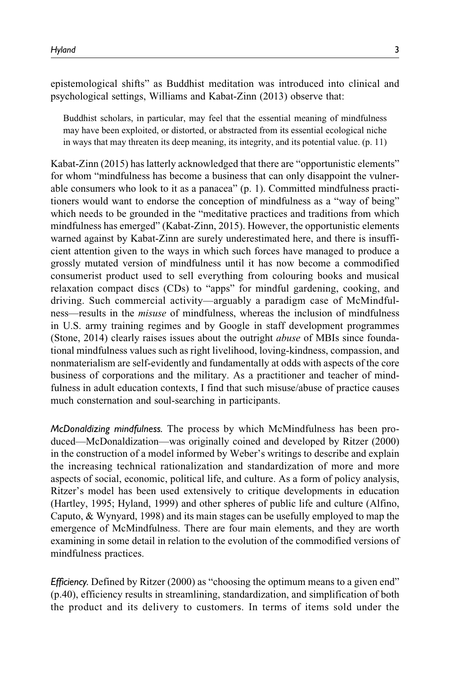epistemological shifts" as Buddhist meditation was introduced into clinical and psychological settings, Williams and Kabat-Zinn (2013) observe that:

Buddhist scholars, in particular, may feel that the essential meaning of mindfulness may have been exploited, or distorted, or abstracted from its essential ecological niche in ways that may threaten its deep meaning, its integrity, and its potential value. (p. 11)

Kabat-Zinn (2015) has latterly acknowledged that there are "opportunistic elements" for whom "mindfulness has become a business that can only disappoint the vulnerable consumers who look to it as a panacea" (p. 1). Committed mindfulness practitioners would want to endorse the conception of mindfulness as a "way of being" which needs to be grounded in the "meditative practices and traditions from which mindfulness has emerged" (Kabat-Zinn, 2015). However, the opportunistic elements warned against by Kabat-Zinn are surely underestimated here, and there is insufficient attention given to the ways in which such forces have managed to produce a grossly mutated version of mindfulness until it has now become a commodified consumerist product used to sell everything from colouring books and musical relaxation compact discs (CDs) to "apps" for mindful gardening, cooking, and driving. Such commercial activity—arguably a paradigm case of McMindfulness—results in the misuse of mindfulness, whereas the inclusion of mindfulness in U.S. army training regimes and by Google in staff development programmes (Stone, 2014) clearly raises issues about the outright abuse of MBIs since foundational mindfulness values such as right livelihood, loving-kindness, compassion, and nonmaterialism are self-evidently and fundamentally at odds with aspects of the core business of corporations and the military. As a practitioner and teacher of mindfulness in adult education contexts, I find that such misuse/abuse of practice causes much consternation and soul-searching in participants.

McDonaldizing mindfulness. The process by which McMindfulness has been produced—McDonaldization—was originally coined and developed by Ritzer (2000) in the construction of a model informed by Weber's writings to describe and explain the increasing technical rationalization and standardization of more and more aspects of social, economic, political life, and culture. As a form of policy analysis, Ritzer's model has been used extensively to critique developments in education (Hartley, 1995; Hyland, 1999) and other spheres of public life and culture (Alfino, Caputo, & Wynyard, 1998) and its main stages can be usefully employed to map the emergence of McMindfulness. There are four main elements, and they are worth examining in some detail in relation to the evolution of the commodified versions of mindfulness practices.

Efficiency. Defined by Ritzer (2000) as "choosing the optimum means to a given end" (p.40), efficiency results in streamlining, standardization, and simplification of both the product and its delivery to customers. In terms of items sold under the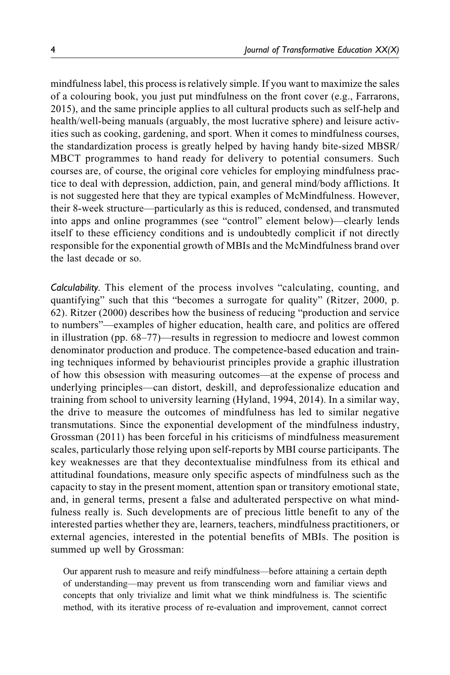mindfulness label, this process is relatively simple. If you want to maximize the sales of a colouring book, you just put mindfulness on the front cover (e.g., Farrarons, 2015), and the same principle applies to all cultural products such as self-help and health/well-being manuals (arguably, the most lucrative sphere) and leisure activities such as cooking, gardening, and sport. When it comes to mindfulness courses, the standardization process is greatly helped by having handy bite-sized MBSR/ MBCT programmes to hand ready for delivery to potential consumers. Such courses are, of course, the original core vehicles for employing mindfulness practice to deal with depression, addiction, pain, and general mind/body afflictions. It is not suggested here that they are typical examples of McMindfulness. However, their 8-week structure—particularly as this is reduced, condensed, and transmuted into apps and online programmes (see "control" element below)—clearly lends itself to these efficiency conditions and is undoubtedly complicit if not directly responsible for the exponential growth of MBIs and the McMindfulness brand over the last decade or so.

Calculability. This element of the process involves "calculating, counting, and quantifying" such that this "becomes a surrogate for quality" (Ritzer, 2000, p. 62). Ritzer (2000) describes how the business of reducing "production and service to numbers"—examples of higher education, health care, and politics are offered in illustration (pp. 68–77)—results in regression to mediocre and lowest common denominator production and produce. The competence-based education and training techniques informed by behaviourist principles provide a graphic illustration of how this obsession with measuring outcomes—at the expense of process and underlying principles—can distort, deskill, and deprofessionalize education and training from school to university learning (Hyland, 1994, 2014). In a similar way, the drive to measure the outcomes of mindfulness has led to similar negative transmutations. Since the exponential development of the mindfulness industry, Grossman (2011) has been forceful in his criticisms of mindfulness measurement scales, particularly those relying upon self-reports by MBI course participants. The key weaknesses are that they decontextualise mindfulness from its ethical and attitudinal foundations, measure only specific aspects of mindfulness such as the capacity to stay in the present moment, attention span or transitory emotional state, and, in general terms, present a false and adulterated perspective on what mindfulness really is. Such developments are of precious little benefit to any of the interested parties whether they are, learners, teachers, mindfulness practitioners, or external agencies, interested in the potential benefits of MBIs. The position is summed up well by Grossman:

Our apparent rush to measure and reify mindfulness—before attaining a certain depth of understanding—may prevent us from transcending worn and familiar views and concepts that only trivialize and limit what we think mindfulness is. The scientific method, with its iterative process of re-evaluation and improvement, cannot correct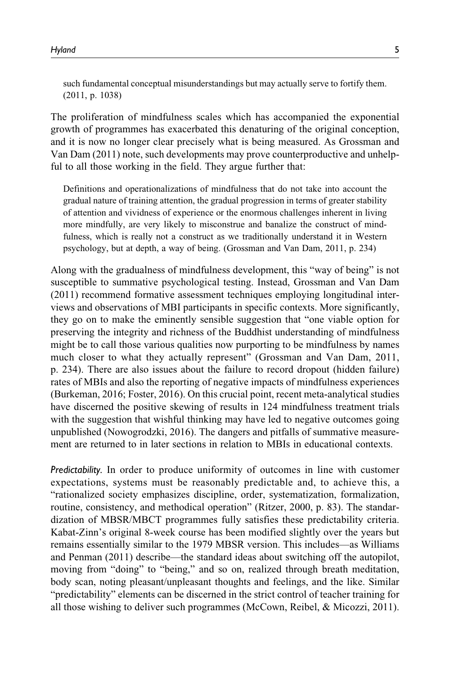such fundamental conceptual misunderstandings but may actually serve to fortify them. (2011, p. 1038)

The proliferation of mindfulness scales which has accompanied the exponential growth of programmes has exacerbated this denaturing of the original conception, and it is now no longer clear precisely what is being measured. As Grossman and Van Dam (2011) note, such developments may prove counterproductive and unhelpful to all those working in the field. They argue further that:

Definitions and operationalizations of mindfulness that do not take into account the gradual nature of training attention, the gradual progression in terms of greater stability of attention and vividness of experience or the enormous challenges inherent in living more mindfully, are very likely to misconstrue and banalize the construct of mindfulness, which is really not a construct as we traditionally understand it in Western psychology, but at depth, a way of being. (Grossman and Van Dam, 2011, p. 234)

Along with the gradualness of mindfulness development, this "way of being" is not susceptible to summative psychological testing. Instead, Grossman and Van Dam (2011) recommend formative assessment techniques employing longitudinal interviews and observations of MBI participants in specific contexts. More significantly, they go on to make the eminently sensible suggestion that "one viable option for preserving the integrity and richness of the Buddhist understanding of mindfulness might be to call those various qualities now purporting to be mindfulness by names much closer to what they actually represent" (Grossman and Van Dam, 2011, p. 234). There are also issues about the failure to record dropout (hidden failure) rates of MBIs and also the reporting of negative impacts of mindfulness experiences (Burkeman, 2016; Foster, 2016). On this crucial point, recent meta-analytical studies have discerned the positive skewing of results in 124 mindfulness treatment trials with the suggestion that wishful thinking may have led to negative outcomes going unpublished (Nowogrodzki, 2016). The dangers and pitfalls of summative measurement are returned to in later sections in relation to MBIs in educational contexts.

Predictability. In order to produce uniformity of outcomes in line with customer expectations, systems must be reasonably predictable and, to achieve this, a "rationalized society emphasizes discipline, order, systematization, formalization, routine, consistency, and methodical operation" (Ritzer, 2000, p. 83). The standardization of MBSR/MBCT programmes fully satisfies these predictability criteria. Kabat-Zinn's original 8-week course has been modified slightly over the years but remains essentially similar to the 1979 MBSR version. This includes—as Williams and Penman (2011) describe—the standard ideas about switching off the autopilot, moving from "doing" to "being," and so on, realized through breath meditation, body scan, noting pleasant/unpleasant thoughts and feelings, and the like. Similar "predictability" elements can be discerned in the strict control of teacher training for all those wishing to deliver such programmes (McCown, Reibel, & Micozzi, 2011).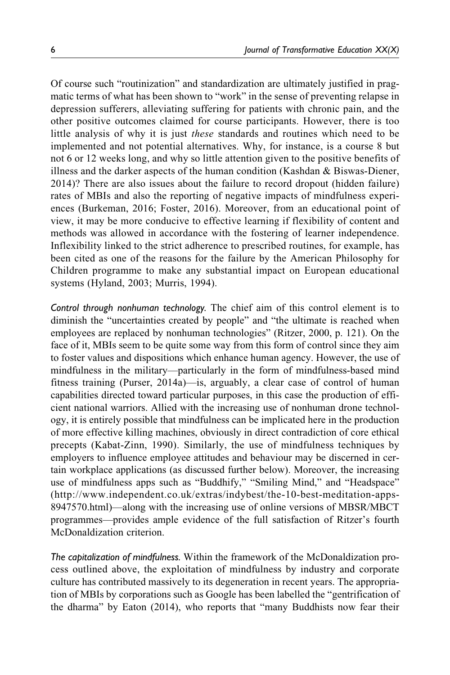Of course such "routinization" and standardization are ultimately justified in pragmatic terms of what has been shown to "work" in the sense of preventing relapse in depression sufferers, alleviating suffering for patients with chronic pain, and the other positive outcomes claimed for course participants. However, there is too little analysis of why it is just these standards and routines which need to be implemented and not potential alternatives. Why, for instance, is a course 8 but not 6 or 12 weeks long, and why so little attention given to the positive benefits of illness and the darker aspects of the human condition (Kashdan & Biswas-Diener, 2014)? There are also issues about the failure to record dropout (hidden failure) rates of MBIs and also the reporting of negative impacts of mindfulness experiences (Burkeman, 2016; Foster, 2016). Moreover, from an educational point of view, it may be more conducive to effective learning if flexibility of content and methods was allowed in accordance with the fostering of learner independence. Inflexibility linked to the strict adherence to prescribed routines, for example, has been cited as one of the reasons for the failure by the American Philosophy for Children programme to make any substantial impact on European educational systems (Hyland, 2003; Murris, 1994).

Control through nonhuman technology. The chief aim of this control element is to diminish the "uncertainties created by people" and "the ultimate is reached when employees are replaced by nonhuman technologies" (Ritzer, 2000, p. 121). On the face of it, MBIs seem to be quite some way from this form of control since they aim to foster values and dispositions which enhance human agency. However, the use of mindfulness in the military—particularly in the form of mindfulness-based mind fitness training (Purser, 2014a)—is, arguably, a clear case of control of human capabilities directed toward particular purposes, in this case the production of efficient national warriors. Allied with the increasing use of nonhuman drone technology, it is entirely possible that mindfulness can be implicated here in the production of more effective killing machines, obviously in direct contradiction of core ethical precepts (Kabat-Zinn, 1990). Similarly, the use of mindfulness techniques by employers to influence employee attitudes and behaviour may be discerned in certain workplace applications (as discussed further below). Moreover, the increasing use of mindfulness apps such as "Buddhify," "Smiling Mind," and "Headspace" ([http://www.independent.co.uk/extras/indybest/the-10-best-meditation-apps-](http://www.independent.co.uk/extras/indybest/the-10-best-meditation-apps-8947570.html)[8947570.html](http://www.independent.co.uk/extras/indybest/the-10-best-meditation-apps-8947570.html))—along with the increasing use of online versions of MBSR/MBCT programmes—provides ample evidence of the full satisfaction of Ritzer's fourth McDonaldization criterion.

The capitalization of mindfulness. Within the framework of the McDonaldization process outlined above, the exploitation of mindfulness by industry and corporate culture has contributed massively to its degeneration in recent years. The appropriation of MBIs by corporations such as Google has been labelled the "gentrification of the dharma" by Eaton (2014), who reports that "many Buddhists now fear their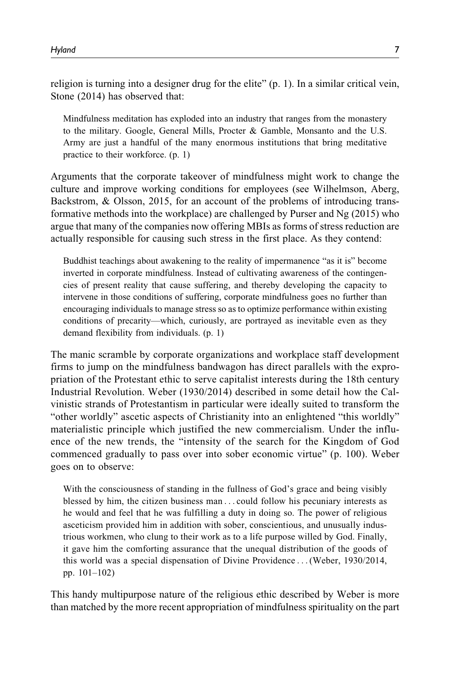religion is turning into a designer drug for the elite" (p. 1). In a similar critical vein, Stone (2014) has observed that:

Mindfulness meditation has exploded into an industry that ranges from the monastery to the military. Google, General Mills, Procter & Gamble, Monsanto and the U.S. Army are just a handful of the many enormous institutions that bring meditative practice to their workforce. (p. 1)

Arguments that the corporate takeover of mindfulness might work to change the culture and improve working conditions for employees (see Wilhelmson, Aberg, Backstrom, & Olsson, 2015, for an account of the problems of introducing transformative methods into the workplace) are challenged by Purser and Ng (2015) who argue that many of the companies now offering MBIs as forms of stress reduction are actually responsible for causing such stress in the first place. As they contend:

Buddhist teachings about awakening to the reality of impermanence "as it is" become inverted in corporate mindfulness. Instead of cultivating awareness of the contingencies of present reality that cause suffering, and thereby developing the capacity to intervene in those conditions of suffering, corporate mindfulness goes no further than encouraging individuals to manage stress so as to optimize performance within existing conditions of precarity—which, curiously, are portrayed as inevitable even as they demand flexibility from individuals. (p. 1)

The manic scramble by corporate organizations and workplace staff development firms to jump on the mindfulness bandwagon has direct parallels with the expropriation of the Protestant ethic to serve capitalist interests during the 18th century Industrial Revolution. Weber (1930/2014) described in some detail how the Calvinistic strands of Protestantism in particular were ideally suited to transform the "other worldly" ascetic aspects of Christianity into an enlightened "this worldly" materialistic principle which justified the new commercialism. Under the influence of the new trends, the "intensity of the search for the Kingdom of God commenced gradually to pass over into sober economic virtue" (p. 100). Weber goes on to observe:

With the consciousness of standing in the fullness of God's grace and being visibly blessed by him, the citizen business man ... could follow his pecuniary interests as he would and feel that he was fulfilling a duty in doing so. The power of religious asceticism provided him in addition with sober, conscientious, and unusually industrious workmen, who clung to their work as to a life purpose willed by God. Finally, it gave him the comforting assurance that the unequal distribution of the goods of this world was a special dispensation of Divine Providence ...(Weber, 1930/2014, pp. 101–102)

This handy multipurpose nature of the religious ethic described by Weber is more than matched by the more recent appropriation of mindfulness spirituality on the part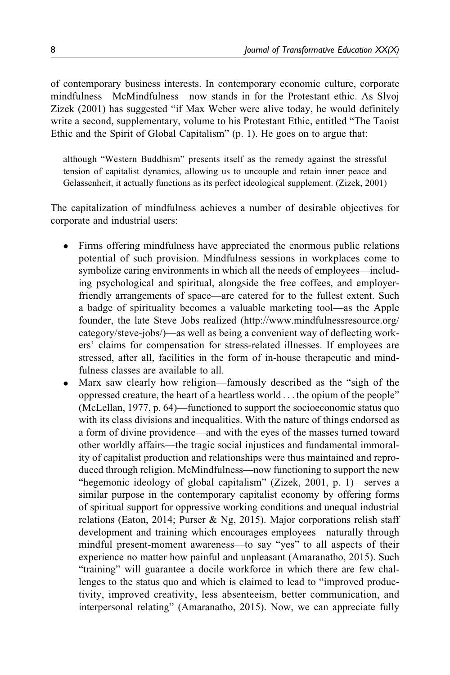of contemporary business interests. In contemporary economic culture, corporate mindfulness—McMindfulness—now stands in for the Protestant ethic. As Slvoj Zizek (2001) has suggested "if Max Weber were alive today, he would definitely write a second, supplementary, volume to his Protestant Ethic, entitled "The Taoist Ethic and the Spirit of Global Capitalism" (p. 1). He goes on to argue that:

although "Western Buddhism" presents itself as the remedy against the stressful tension of capitalist dynamics, allowing us to uncouple and retain inner peace and Gelassenheit, it actually functions as its perfect ideological supplement. (Zizek, 2001)

The capitalization of mindfulness achieves a number of desirable objectives for corporate and industrial users:

- $\bullet$  Firms offering mindfulness have appreciated the enormous public relations potential of such provision. Mindfulness sessions in workplaces come to symbolize caring environments in which all the needs of employees—including psychological and spiritual, alongside the free coffees, and employerfriendly arrangements of space—are catered for to the fullest extent. Such a badge of spirituality becomes a valuable marketing tool—as the Apple founder, the late Steve Jobs realized [\(http://www.mindfulnessresource.org/](http://www.mindfulnessresource.org/category/steve-jobs/) [category/steve-jobs/\)](http://www.mindfulnessresource.org/category/steve-jobs/)—as well as being a convenient way of deflecting workers' claims for compensation for stress-related illnesses. If employees are stressed, after all, facilities in the form of in-house therapeutic and mindfulness classes are available to all.
- $\bullet$  Marx saw clearly how religion—famously described as the "sigh of the oppressed creature, the heart of a heartless world ... the opium of the people" (McLellan, 1977, p. 64)—functioned to support the socioeconomic status quo with its class divisions and inequalities. With the nature of things endorsed as a form of divine providence—and with the eyes of the masses turned toward other worldly affairs—the tragic social injustices and fundamental immorality of capitalist production and relationships were thus maintained and reproduced through religion. McMindfulness—now functioning to support the new "hegemonic ideology of global capitalism" (Zizek, 2001, p. 1)—serves a similar purpose in the contemporary capitalist economy by offering forms of spiritual support for oppressive working conditions and unequal industrial relations (Eaton, 2014; Purser & Ng, 2015). Major corporations relish staff development and training which encourages employees—naturally through mindful present-moment awareness—to say "yes" to all aspects of their experience no matter how painful and unpleasant (Amaranatho, 2015). Such "training" will guarantee a docile workforce in which there are few challenges to the status quo and which is claimed to lead to "improved productivity, improved creativity, less absenteeism, better communication, and interpersonal relating" (Amaranatho, 2015). Now, we can appreciate fully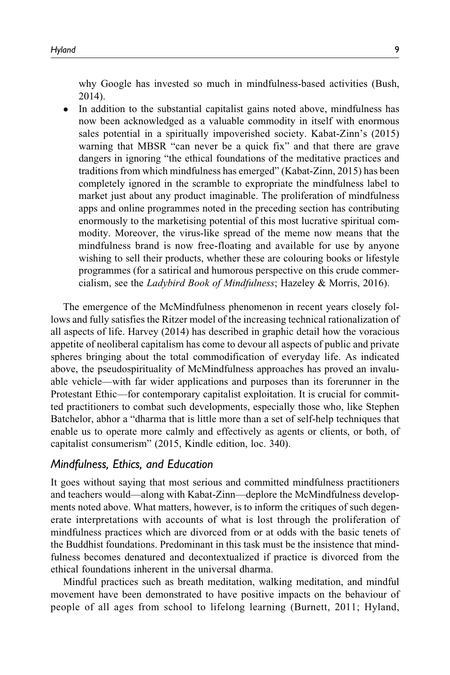why Google has invested so much in mindfulness-based activities (Bush, 2014).

 $\bullet$  In addition to the substantial capitalist gains noted above, mindfulness has now been acknowledged as a valuable commodity in itself with enormous sales potential in a spiritually impoverished society. Kabat-Zinn's (2015) warning that MBSR "can never be a quick fix" and that there are grave dangers in ignoring "the ethical foundations of the meditative practices and traditions from which mindfulness has emerged" (Kabat-Zinn, 2015) has been completely ignored in the scramble to expropriate the mindfulness label to market just about any product imaginable. The proliferation of mindfulness apps and online programmes noted in the preceding section has contributing enormously to the marketising potential of this most lucrative spiritual commodity. Moreover, the virus-like spread of the meme now means that the mindfulness brand is now free-floating and available for use by anyone wishing to sell their products, whether these are colouring books or lifestyle programmes (for a satirical and humorous perspective on this crude commercialism, see the Ladybird Book of Mindfulness; Hazeley & Morris, 2016).

The emergence of the McMindfulness phenomenon in recent years closely follows and fully satisfies the Ritzer model of the increasing technical rationalization of all aspects of life. Harvey (2014) has described in graphic detail how the voracious appetite of neoliberal capitalism has come to devour all aspects of public and private spheres bringing about the total commodification of everyday life. As indicated above, the pseudospirituality of McMindfulness approaches has proved an invaluable vehicle—with far wider applications and purposes than its forerunner in the Protestant Ethic—for contemporary capitalist exploitation. It is crucial for committed practitioners to combat such developments, especially those who, like Stephen Batchelor, abhor a "dharma that is little more than a set of self-help techniques that enable us to operate more calmly and effectively as agents or clients, or both, of capitalist consumerism" (2015, Kindle edition, loc. 340).

## Mindfulness, Ethics, and Education

It goes without saying that most serious and committed mindfulness practitioners and teachers would—along with Kabat-Zinn—deplore the McMindfulness developments noted above. What matters, however, is to inform the critiques of such degenerate interpretations with accounts of what is lost through the proliferation of mindfulness practices which are divorced from or at odds with the basic tenets of the Buddhist foundations. Predominant in this task must be the insistence that mindfulness becomes denatured and decontextualized if practice is divorced from the ethical foundations inherent in the universal dharma.

Mindful practices such as breath meditation, walking meditation, and mindful movement have been demonstrated to have positive impacts on the behaviour of people of all ages from school to lifelong learning (Burnett, 2011; Hyland,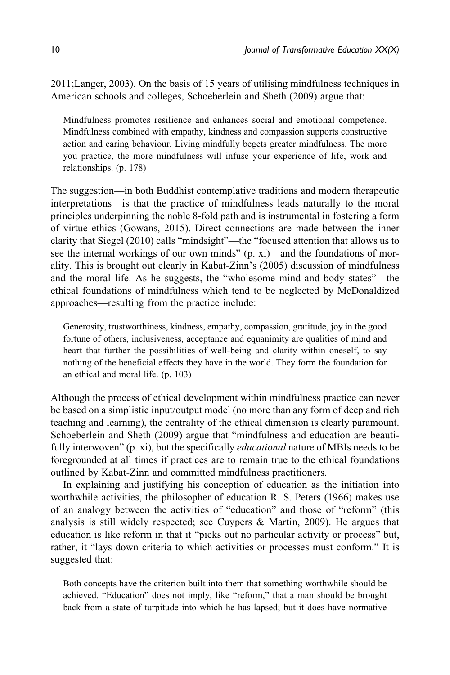2011;Langer, 2003). On the basis of 15 years of utilising mindfulness techniques in American schools and colleges, Schoeberlein and Sheth (2009) argue that:

Mindfulness promotes resilience and enhances social and emotional competence. Mindfulness combined with empathy, kindness and compassion supports constructive action and caring behaviour. Living mindfully begets greater mindfulness. The more you practice, the more mindfulness will infuse your experience of life, work and relationships. (p. 178)

The suggestion—in both Buddhist contemplative traditions and modern therapeutic interpretations—is that the practice of mindfulness leads naturally to the moral principles underpinning the noble 8-fold path and is instrumental in fostering a form of virtue ethics (Gowans, 2015). Direct connections are made between the inner clarity that Siegel (2010) calls "mindsight"—the "focused attention that allows us to see the internal workings of our own minds" (p. xi)—and the foundations of morality. This is brought out clearly in Kabat-Zinn's (2005) discussion of mindfulness and the moral life. As he suggests, the "wholesome mind and body states"—the ethical foundations of mindfulness which tend to be neglected by McDonaldized approaches—resulting from the practice include:

Generosity, trustworthiness, kindness, empathy, compassion, gratitude, joy in the good fortune of others, inclusiveness, acceptance and equanimity are qualities of mind and heart that further the possibilities of well-being and clarity within oneself, to say nothing of the beneficial effects they have in the world. They form the foundation for an ethical and moral life. (p. 103)

Although the process of ethical development within mindfulness practice can never be based on a simplistic input/output model (no more than any form of deep and rich teaching and learning), the centrality of the ethical dimension is clearly paramount. Schoeberlein and Sheth (2009) argue that "mindfulness and education are beautifully interwoven" (p. xi), but the specifically *educational* nature of MBIs needs to be foregrounded at all times if practices are to remain true to the ethical foundations outlined by Kabat-Zinn and committed mindfulness practitioners.

In explaining and justifying his conception of education as the initiation into worthwhile activities, the philosopher of education R. S. Peters (1966) makes use of an analogy between the activities of "education" and those of "reform" (this analysis is still widely respected; see Cuypers & Martin, 2009). He argues that education is like reform in that it "picks out no particular activity or process" but, rather, it "lays down criteria to which activities or processes must conform." It is suggested that:

Both concepts have the criterion built into them that something worthwhile should be achieved. "Education" does not imply, like "reform," that a man should be brought back from a state of turpitude into which he has lapsed; but it does have normative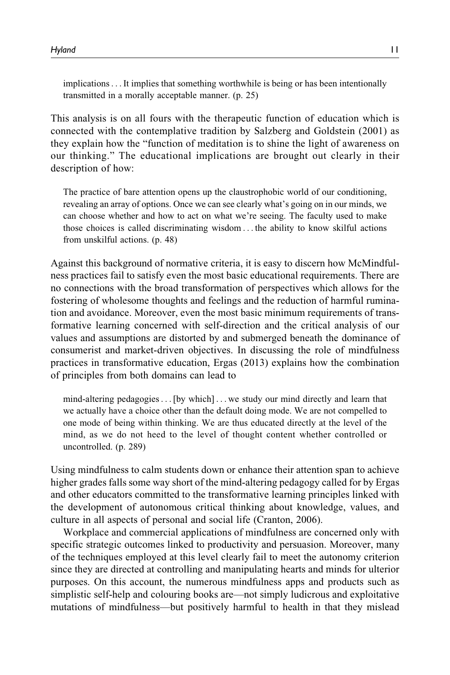implications...It implies that something worthwhile is being or has been intentionally transmitted in a morally acceptable manner. (p. 25)

This analysis is on all fours with the therapeutic function of education which is connected with the contemplative tradition by Salzberg and Goldstein (2001) as they explain how the "function of meditation is to shine the light of awareness on our thinking." The educational implications are brought out clearly in their description of how:

The practice of bare attention opens up the claustrophobic world of our conditioning, revealing an array of options. Once we can see clearly what's going on in our minds, we can choose whether and how to act on what we're seeing. The faculty used to make those choices is called discriminating wisdom ... the ability to know skilful actions from unskilful actions. (p. 48)

Against this background of normative criteria, it is easy to discern how McMindfulness practices fail to satisfy even the most basic educational requirements. There are no connections with the broad transformation of perspectives which allows for the fostering of wholesome thoughts and feelings and the reduction of harmful rumination and avoidance. Moreover, even the most basic minimum requirements of transformative learning concerned with self-direction and the critical analysis of our values and assumptions are distorted by and submerged beneath the dominance of consumerist and market-driven objectives. In discussing the role of mindfulness practices in transformative education, Ergas (2013) explains how the combination of principles from both domains can lead to

mind-altering pedagogies...[by which] ... we study our mind directly and learn that we actually have a choice other than the default doing mode. We are not compelled to one mode of being within thinking. We are thus educated directly at the level of the mind, as we do not heed to the level of thought content whether controlled or uncontrolled. (p. 289)

Using mindfulness to calm students down or enhance their attention span to achieve higher grades falls some way short of the mind-altering pedagogy called for by Ergas and other educators committed to the transformative learning principles linked with the development of autonomous critical thinking about knowledge, values, and culture in all aspects of personal and social life (Cranton, 2006).

Workplace and commercial applications of mindfulness are concerned only with specific strategic outcomes linked to productivity and persuasion. Moreover, many of the techniques employed at this level clearly fail to meet the autonomy criterion since they are directed at controlling and manipulating hearts and minds for ulterior purposes. On this account, the numerous mindfulness apps and products such as simplistic self-help and colouring books are—not simply ludicrous and exploitative mutations of mindfulness—but positively harmful to health in that they mislead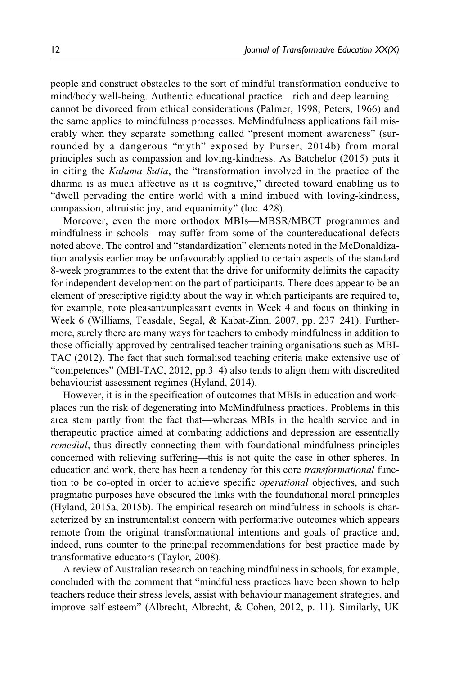people and construct obstacles to the sort of mindful transformation conducive to mind/body well-being. Authentic educational practice—rich and deep learning cannot be divorced from ethical considerations (Palmer, 1998; Peters, 1966) and the same applies to mindfulness processes. McMindfulness applications fail miserably when they separate something called "present moment awareness" (surrounded by a dangerous "myth" exposed by Purser, 2014b) from moral principles such as compassion and loving-kindness. As Batchelor (2015) puts it in citing the Kalama Sutta, the "transformation involved in the practice of the dharma is as much affective as it is cognitive," directed toward enabling us to "dwell pervading the entire world with a mind imbued with loving-kindness, compassion, altruistic joy, and equanimity" (loc. 428).

Moreover, even the more orthodox MBIs—MBSR/MBCT programmes and mindfulness in schools—may suffer from some of the countereducational defects noted above. The control and "standardization" elements noted in the McDonaldization analysis earlier may be unfavourably applied to certain aspects of the standard 8-week programmes to the extent that the drive for uniformity delimits the capacity for independent development on the part of participants. There does appear to be an element of prescriptive rigidity about the way in which participants are required to, for example, note pleasant/unpleasant events in Week 4 and focus on thinking in Week 6 (Williams, Teasdale, Segal, & Kabat-Zinn, 2007, pp. 237–241). Furthermore, surely there are many ways for teachers to embody mindfulness in addition to those officially approved by centralised teacher training organisations such as MBI-TAC (2012). The fact that such formalised teaching criteria make extensive use of "competences" (MBI-TAC, 2012, pp.3–4) also tends to align them with discredited behaviourist assessment regimes (Hyland, 2014).

However, it is in the specification of outcomes that MBIs in education and workplaces run the risk of degenerating into McMindfulness practices. Problems in this area stem partly from the fact that—whereas MBIs in the health service and in therapeutic practice aimed at combating addictions and depression are essentially remedial, thus directly connecting them with foundational mindfulness principles concerned with relieving suffering—this is not quite the case in other spheres. In education and work, there has been a tendency for this core *transformational* function to be co-opted in order to achieve specific operational objectives, and such pragmatic purposes have obscured the links with the foundational moral principles (Hyland, 2015a, 2015b). The empirical research on mindfulness in schools is characterized by an instrumentalist concern with performative outcomes which appears remote from the original transformational intentions and goals of practice and, indeed, runs counter to the principal recommendations for best practice made by transformative educators (Taylor, 2008).

A review of Australian research on teaching mindfulness in schools, for example, concluded with the comment that "mindfulness practices have been shown to help teachers reduce their stress levels, assist with behaviour management strategies, and improve self-esteem" (Albrecht, Albrecht, & Cohen, 2012, p. 11). Similarly, UK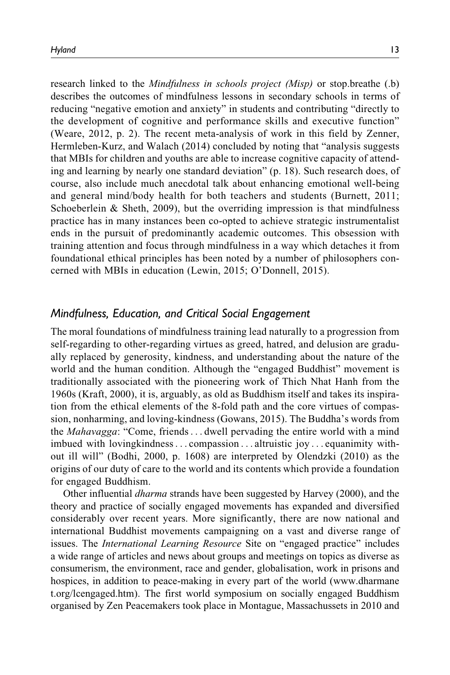research linked to the *Mindfulness in schools project (Misp)* or stop.breathe (.b) describes the outcomes of mindfulness lessons in secondary schools in terms of reducing "negative emotion and anxiety" in students and contributing "directly to the development of cognitive and performance skills and executive function" (Weare, 2012, p. 2). The recent meta-analysis of work in this field by Zenner, Hermleben-Kurz, and Walach (2014) concluded by noting that "analysis suggests that MBIs for children and youths are able to increase cognitive capacity of attending and learning by nearly one standard deviation" (p. 18). Such research does, of course, also include much anecdotal talk about enhancing emotional well-being and general mind/body health for both teachers and students (Burnett, 2011; Schoeberlein  $\&$  Sheth, 2009), but the overriding impression is that mindfulness practice has in many instances been co-opted to achieve strategic instrumentalist ends in the pursuit of predominantly academic outcomes. This obsession with training attention and focus through mindfulness in a way which detaches it from foundational ethical principles has been noted by a number of philosophers concerned with MBIs in education (Lewin, 2015; O'Donnell, 2015).

## Mindfulness, Education, and Critical Social Engagement

The moral foundations of mindfulness training lead naturally to a progression from self-regarding to other-regarding virtues as greed, hatred, and delusion are gradually replaced by generosity, kindness, and understanding about the nature of the world and the human condition. Although the "engaged Buddhist" movement is traditionally associated with the pioneering work of Thich Nhat Hanh from the 1960s (Kraft, 2000), it is, arguably, as old as Buddhism itself and takes its inspiration from the ethical elements of the 8-fold path and the core virtues of compassion, nonharming, and loving-kindness (Gowans, 2015). The Buddha's words from the Mahavagga: "Come, friends... dwell pervading the entire world with a mind imbued with lovingkindness... compassion ... altruistic joy ... equanimity without ill will" (Bodhi, 2000, p. 1608) are interpreted by Olendzki (2010) as the origins of our duty of care to the world and its contents which provide a foundation for engaged Buddhism.

Other influential dharma strands have been suggested by Harvey (2000), and the theory and practice of socially engaged movements has expanded and diversified considerably over recent years. More significantly, there are now national and international Buddhist movements campaigning on a vast and diverse range of issues. The International Learning Resource Site on "engaged practice" includes a wide range of articles and news about groups and meetings on topics as diverse as consumerism, the environment, race and gender, globalisation, work in prisons and hospices, in addition to peace-making in every part of the world ([www.dharmane](http://www.dharmanet.org/lcengaged.htm) [t.org/lcengaged.htm\)](http://www.dharmanet.org/lcengaged.htm). The first world symposium on socially engaged Buddhism organised by Zen Peacemakers took place in Montague, Massachussets in 2010 and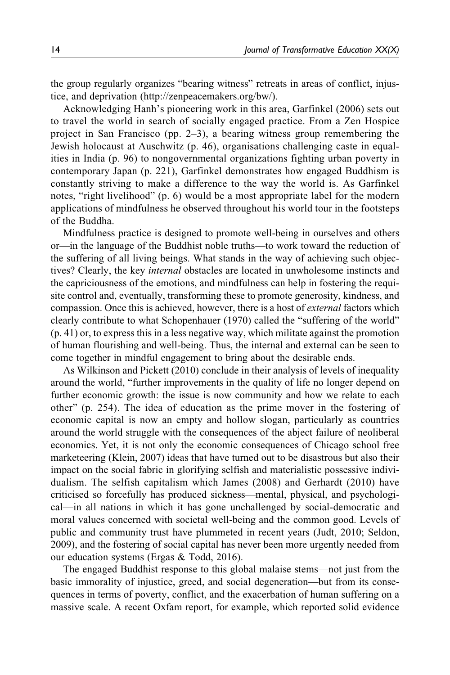the group regularly organizes "bearing witness" retreats in areas of conflict, injustice, and deprivation ([http://zenpeacemakers.org/bw/\)](http://zenpeacemakers.org/bw/).

Acknowledging Hanh's pioneering work in this area, Garfinkel (2006) sets out to travel the world in search of socially engaged practice. From a Zen Hospice project in San Francisco (pp. 2–3), a bearing witness group remembering the Jewish holocaust at Auschwitz (p. 46), organisations challenging caste in equalities in India (p. 96) to nongovernmental organizations fighting urban poverty in contemporary Japan (p. 221), Garfinkel demonstrates how engaged Buddhism is constantly striving to make a difference to the way the world is. As Garfinkel notes, "right livelihood" (p. 6) would be a most appropriate label for the modern applications of mindfulness he observed throughout his world tour in the footsteps of the Buddha.

Mindfulness practice is designed to promote well-being in ourselves and others or—in the language of the Buddhist noble truths—to work toward the reduction of the suffering of all living beings. What stands in the way of achieving such objectives? Clearly, the key internal obstacles are located in unwholesome instincts and the capriciousness of the emotions, and mindfulness can help in fostering the requisite control and, eventually, transforming these to promote generosity, kindness, and compassion. Once this is achieved, however, there is a host of external factors which clearly contribute to what Schopenhauer (1970) called the "suffering of the world" (p. 41) or, to express this in a less negative way, which militate against the promotion of human flourishing and well-being. Thus, the internal and external can be seen to come together in mindful engagement to bring about the desirable ends.

As Wilkinson and Pickett (2010) conclude in their analysis of levels of inequality around the world, "further improvements in the quality of life no longer depend on further economic growth: the issue is now community and how we relate to each other" (p. 254). The idea of education as the prime mover in the fostering of economic capital is now an empty and hollow slogan, particularly as countries around the world struggle with the consequences of the abject failure of neoliberal economics. Yet, it is not only the economic consequences of Chicago school free marketeering (Klein, 2007) ideas that have turned out to be disastrous but also their impact on the social fabric in glorifying selfish and materialistic possessive individualism. The selfish capitalism which James (2008) and Gerhardt (2010) have criticised so forcefully has produced sickness—mental, physical, and psychological—in all nations in which it has gone unchallenged by social-democratic and moral values concerned with societal well-being and the common good. Levels of public and community trust have plummeted in recent years (Judt, 2010; Seldon, 2009), and the fostering of social capital has never been more urgently needed from our education systems (Ergas & Todd, 2016).

The engaged Buddhist response to this global malaise stems—not just from the basic immorality of injustice, greed, and social degeneration—but from its consequences in terms of poverty, conflict, and the exacerbation of human suffering on a massive scale. A recent Oxfam report, for example, which reported solid evidence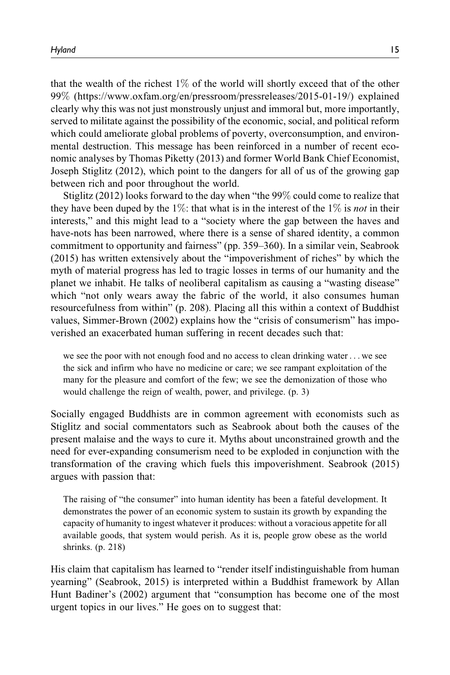that the wealth of the richest  $1\%$  of the world will shortly exceed that of the other 99% [\(https://www.oxfam.org/en/pressroom/pressreleases/2015-01-19/](https://www.oxfam.org/en/pressroom/pressreleases/2015-01-19/)) explained clearly why this was not just monstrously unjust and immoral but, more importantly, served to militate against the possibility of the economic, social, and political reform which could ameliorate global problems of poverty, overconsumption, and environmental destruction. This message has been reinforced in a number of recent economic analyses by Thomas Piketty (2013) and former World Bank Chief Economist, Joseph Stiglitz (2012), which point to the dangers for all of us of the growing gap between rich and poor throughout the world.

Stiglitz (2012) looks forward to the day when "the 99% could come to realize that they have been duped by the 1%: that what is in the interest of the 1% is *not* in their interests," and this might lead to a "society where the gap between the haves and have-nots has been narrowed, where there is a sense of shared identity, a common commitment to opportunity and fairness" (pp. 359–360). In a similar vein, Seabrook (2015) has written extensively about the "impoverishment of riches" by which the myth of material progress has led to tragic losses in terms of our humanity and the planet we inhabit. He talks of neoliberal capitalism as causing a "wasting disease" which "not only wears away the fabric of the world, it also consumes human resourcefulness from within" (p. 208). Placing all this within a context of Buddhist values, Simmer-Brown (2002) explains how the "crisis of consumerism" has impoverished an exacerbated human suffering in recent decades such that:

we see the poor with not enough food and no access to clean drinking water ... we see the sick and infirm who have no medicine or care; we see rampant exploitation of the many for the pleasure and comfort of the few; we see the demonization of those who would challenge the reign of wealth, power, and privilege. (p. 3)

Socially engaged Buddhists are in common agreement with economists such as Stiglitz and social commentators such as Seabrook about both the causes of the present malaise and the ways to cure it. Myths about unconstrained growth and the need for ever-expanding consumerism need to be exploded in conjunction with the transformation of the craving which fuels this impoverishment. Seabrook (2015) argues with passion that:

The raising of "the consumer" into human identity has been a fateful development. It demonstrates the power of an economic system to sustain its growth by expanding the capacity of humanity to ingest whatever it produces: without a voracious appetite for all available goods, that system would perish. As it is, people grow obese as the world shrinks. (p. 218)

His claim that capitalism has learned to "render itself indistinguishable from human yearning" (Seabrook, 2015) is interpreted within a Buddhist framework by Allan Hunt Badiner's (2002) argument that "consumption has become one of the most urgent topics in our lives." He goes on to suggest that: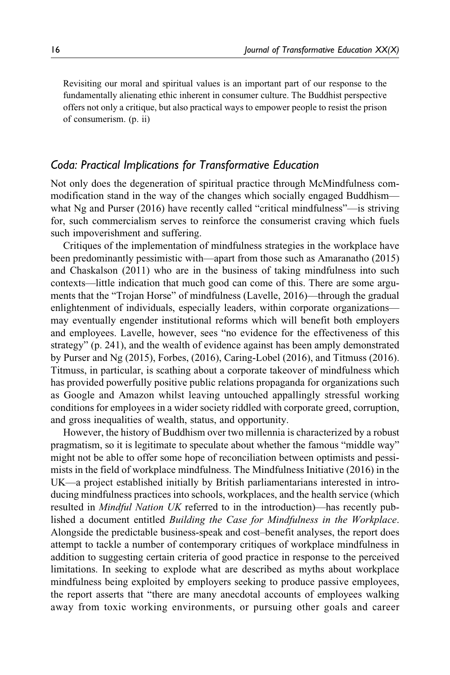Revisiting our moral and spiritual values is an important part of our response to the fundamentally alienating ethic inherent in consumer culture. The Buddhist perspective offers not only a critique, but also practical ways to empower people to resist the prison of consumerism. (p. ii)

# Coda: Practical Implications for Transformative Education

Not only does the degeneration of spiritual practice through McMindfulness commodification stand in the way of the changes which socially engaged Buddhism what Ng and Purser (2016) have recently called "critical mindfulness"—is striving for, such commercialism serves to reinforce the consumerist craving which fuels such impoverishment and suffering.

Critiques of the implementation of mindfulness strategies in the workplace have been predominantly pessimistic with—apart from those such as Amaranatho (2015) and Chaskalson (2011) who are in the business of taking mindfulness into such contexts—little indication that much good can come of this. There are some arguments that the "Trojan Horse" of mindfulness (Lavelle, 2016)—through the gradual enlightenment of individuals, especially leaders, within corporate organizations may eventually engender institutional reforms which will benefit both employers and employees. Lavelle, however, sees "no evidence for the effectiveness of this strategy" (p. 241), and the wealth of evidence against has been amply demonstrated by Purser and Ng (2015), Forbes, (2016), Caring-Lobel (2016), and Titmuss (2016). Titmuss, in particular, is scathing about a corporate takeover of mindfulness which has provided powerfully positive public relations propaganda for organizations such as Google and Amazon whilst leaving untouched appallingly stressful working conditions for employees in a wider society riddled with corporate greed, corruption, and gross inequalities of wealth, status, and opportunity.

However, the history of Buddhism over two millennia is characterized by a robust pragmatism, so it is legitimate to speculate about whether the famous "middle way" might not be able to offer some hope of reconciliation between optimists and pessimists in the field of workplace mindfulness. The Mindfulness Initiative (2016) in the UK—a project established initially by British parliamentarians interested in introducing mindfulness practices into schools, workplaces, and the health service (which resulted in Mindful Nation UK referred to in the introduction)—has recently published a document entitled Building the Case for Mindfulness in the Workplace. Alongside the predictable business-speak and cost–benefit analyses, the report does attempt to tackle a number of contemporary critiques of workplace mindfulness in addition to suggesting certain criteria of good practice in response to the perceived limitations. In seeking to explode what are described as myths about workplace mindfulness being exploited by employers seeking to produce passive employees, the report asserts that "there are many anecdotal accounts of employees walking away from toxic working environments, or pursuing other goals and career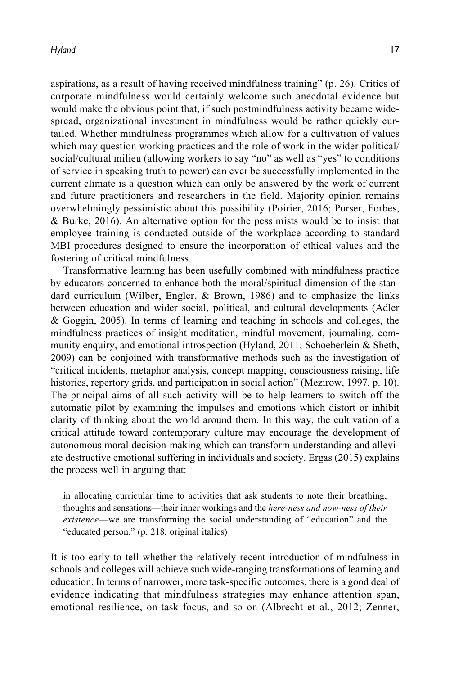aspirations, as a result of having received mindfulness training" (p. 26). Critics of corporate mindfulness would certainly welcome such anecdotal evidence but would make the obvious point that, if such postmindfulness activity became widespread, organizational investment in mindfulness would be rather quickly curtailed. Whether mindfulness programmes which allow for a cultivation of values which may question working practices and the role of work in the wider political/ social/cultural milieu (allowing workers to say "no" as well as "yes" to conditions of service in speaking truth to power) can ever be successfully implemented in the current climate is a question which can only be answered by the work of current and future practitioners and researchers in the field. Majority opinion remains overwhelmingly pessimistic about this possibility (Poirier, 2016; Purser, Forbes, & Burke, 2016). An alternative option for the pessimists would be to insist that employee training is conducted outside of the workplace according to standard MBI procedures designed to ensure the incorporation of ethical values and the fostering of critical mindfulness.

Transformative learning has been usefully combined with mindfulness practice by educators concerned to enhance both the moral/spiritual dimension of the standard curriculum (Wilber, Engler, & Brown, 1986) and to emphasize the links between education and wider social, political, and cultural developments (Adler & Goggin, 2005). In terms of learning and teaching in schools and colleges, the mindfulness practices of insight meditation, mindful movement, journaling, community enquiry, and emotional introspection (Hyland, 2011; Schoeberlein & Sheth, 2009) can be conjoined with transformative methods such as the investigation of "critical incidents, metaphor analysis, concept mapping, consciousness raising, life histories, repertory grids, and participation in social action" (Mezirow, 1997, p. 10). The principal aims of all such activity will be to help learners to switch off the automatic pilot by examining the impulses and emotions which distort or inhibit clarity of thinking about the world around them. In this way, the cultivation of a critical attitude toward contemporary culture may encourage the development of autonomous moral decision-making which can transform understanding and alleviate destructive emotional suffering in individuals and society. Ergas (2015) explains the process well in arguing that:

in allocating curricular time to activities that ask students to note their breathing, thoughts and sensations—their inner workings and the *here-ness and now-ness of their* existence—we are transforming the social understanding of "education" and the "educated person." (p. 218, original italics)

It is too early to tell whether the relatively recent introduction of mindfulness in schools and colleges will achieve such wide-ranging transformations of learning and education. In terms of narrower, more task-specific outcomes, there is a good deal of evidence indicating that mindfulness strategies may enhance attention span, emotional resilience, on-task focus, and so on (Albrecht et al., 2012; Zenner,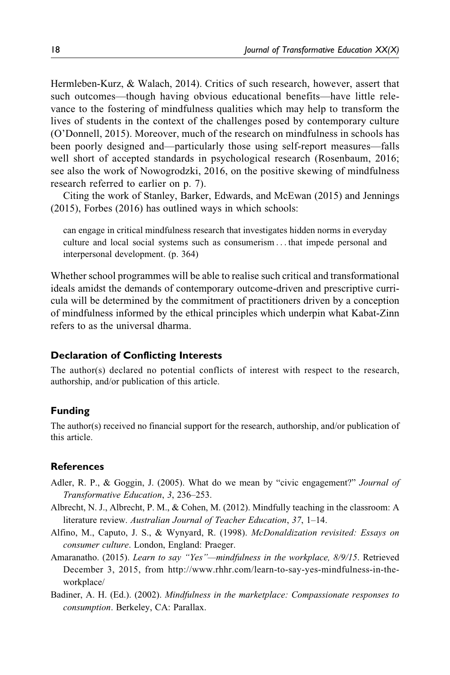Hermleben-Kurz, & Walach, 2014). Critics of such research, however, assert that such outcomes—though having obvious educational benefits—have little relevance to the fostering of mindfulness qualities which may help to transform the lives of students in the context of the challenges posed by contemporary culture (O'Donnell, 2015). Moreover, much of the research on mindfulness in schools has been poorly designed and—particularly those using self-report measures—falls well short of accepted standards in psychological research (Rosenbaum, 2016; see also the work of Nowogrodzki, 2016, on the positive skewing of mindfulness research referred to earlier on p. 7).

Citing the work of Stanley, Barker, Edwards, and McEwan (2015) and Jennings (2015), Forbes (2016) has outlined ways in which schools:

can engage in critical mindfulness research that investigates hidden norms in everyday culture and local social systems such as consumerism ... that impede personal and interpersonal development. (p. 364)

Whether school programmes will be able to realise such critical and transformational ideals amidst the demands of contemporary outcome-driven and prescriptive curricula will be determined by the commitment of practitioners driven by a conception of mindfulness informed by the ethical principles which underpin what Kabat-Zinn refers to as the universal dharma.

### Declaration of Conflicting Interests

The author(s) declared no potential conflicts of interest with respect to the research, authorship, and/or publication of this article.

### Funding

The author(s) received no financial support for the research, authorship, and/or publication of this article.

#### **References**

- Adler, R. P., & Goggin, J. (2005). What do we mean by "civic engagement?" Journal of Transformative Education, 3, 236–253.
- Albrecht, N. J., Albrecht, P. M., & Cohen, M. (2012). Mindfully teaching in the classroom: A literature review. Australian Journal of Teacher Education, 37, 1–14.
- Alfino, M., Caputo, J. S., & Wynyard, R. (1998). McDonaldization revisited: Essays on consumer culture. London, England: Praeger.
- Amaranatho. (2015). Learn to say "Yes"-mindfulness in the workplace, 8/9/15. Retrieved December 3, 2015, from [http://www.rhhr.com/learn-to-say-yes-mindfulness-in-the](http://www.rhhr.com/learn-to-say-yes-mindfulness-in-the-workplace/)[workplace/](http://www.rhhr.com/learn-to-say-yes-mindfulness-in-the-workplace/)
- Badiner, A. H. (Ed.). (2002). Mindfulness in the marketplace: Compassionate responses to consumption. Berkeley, CA: Parallax.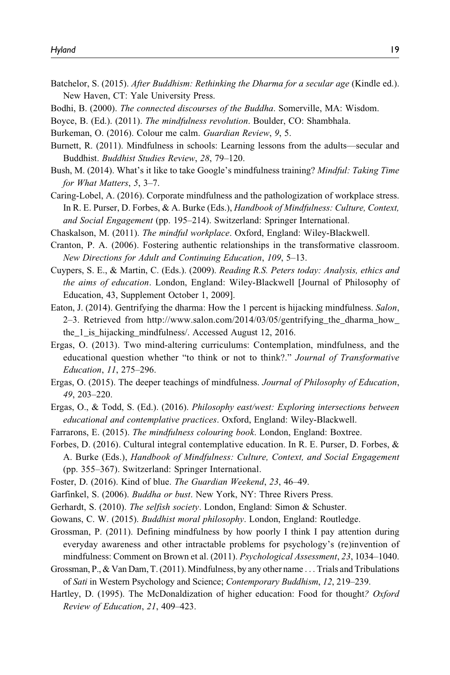- Batchelor, S. (2015). After Buddhism: Rethinking the Dharma for a secular age (Kindle ed.). New Haven, CT: Yale University Press.
- Bodhi, B. (2000). The connected discourses of the Buddha. Somerville, MA: Wisdom.
- Boyce, B. (Ed.). (2011). The mindfulness revolution. Boulder, CO: Shambhala.
- Burkeman, O. (2016). Colour me calm. Guardian Review, 9, 5.
- Burnett, R. (2011). Mindfulness in schools: Learning lessons from the adults—secular and Buddhist. Buddhist Studies Review, 28, 79–120.
- Bush, M. (2014). What's it like to take Google's mindfulness training? Mindful: Taking Time for What Matters, 5, 3–7.
- Caring-Lobel, A. (2016). Corporate mindfulness and the pathologization of workplace stress. In R. E. Purser, D. Forbes, & A. Burke (Eds.), Handbook of Mindfulness: Culture, Context, and Social Engagement (pp. 195–214). Switzerland: Springer International.
- Chaskalson, M. (2011). The mindful workplace. Oxford, England: Wiley-Blackwell.
- Cranton, P. A. (2006). Fostering authentic relationships in the transformative classroom. New Directions for Adult and Continuing Education, 109, 5–13.
- Cuypers, S. E., & Martin, C. (Eds.). (2009). Reading R.S. Peters today: Analysis, ethics and the aims of education. London, England: Wiley-Blackwell [Journal of Philosophy of Education, 43, Supplement October 1, 2009].
- Eaton, J. (2014). Gentrifying the dharma: How the 1 percent is hijacking mindfulness. Salon, 2–3. Retrieved from [http://www.salon.com/2014/03/05/gentrifying\\_the\\_dharma\\_how\\_](http://www.salon.com/2014/03/05/gentrifying_the_dharma_how_the_1_is_hijacking_mindfulness/) [the\\_1\\_is\\_hijacking\\_mindfulness/.](http://www.salon.com/2014/03/05/gentrifying_the_dharma_how_the_1_is_hijacking_mindfulness/) Accessed August 12, 2016.
- Ergas, O. (2013). Two mind-altering curriculums: Contemplation, mindfulness, and the educational question whether "to think or not to think?." Journal of Transformative Education, 11, 275–296.
- Ergas, O. (2015). The deeper teachings of mindfulness. Journal of Philosophy of Education, 49, 203–220.
- Ergas, O., & Todd, S. (Ed.). (2016). Philosophy east/west: Exploring intersections between educational and contemplative practices. Oxford, England: Wiley-Blackwell.
- Farrarons, E. (2015). The mindfulness colouring book. London, England: Boxtree.
- Forbes, D. (2016). Cultural integral contemplative education. In R. E. Purser, D. Forbes, & A. Burke (Eds.), Handbook of Mindfulness: Culture, Context, and Social Engagement (pp. 355–367). Switzerland: Springer International.
- Foster, D. (2016). Kind of blue. The Guardian Weekend, 23, 46–49.
- Garfinkel, S. (2006). Buddha or bust. New York, NY: Three Rivers Press.
- Gerhardt, S. (2010). The selfish society. London, England: Simon & Schuster.
- Gowans, C. W. (2015). Buddhist moral philosophy. London, England: Routledge.
- Grossman, P. (2011). Defining mindfulness by how poorly I think I pay attention during everyday awareness and other intractable problems for psychology's (re)invention of mindfulness: Comment on Brown et al. (2011). *Psychological Assessment*, 23, 1034–1040.
- Grossman, P., & Van Dam, T. (2011). Mindfulness, by any other name ... Trials and Tribulations of Sati in Western Psychology and Science; Contemporary Buddhism, 12, 219–239.
- Hartley, D. (1995). The McDonaldization of higher education: Food for thought? Oxford Review of Education, 21, 409–423.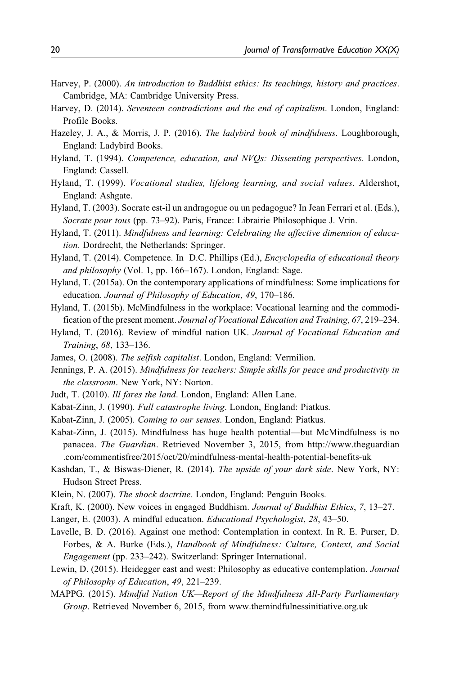- Harvey, P. (2000). An introduction to Buddhist ethics: Its teachings, history and practices. Cambridge, MA: Cambridge University Press.
- Harvey, D. (2014). Seventeen contradictions and the end of capitalism. London, England: Profile Books.
- Hazeley, J. A., & Morris, J. P. (2016). The ladybird book of mindfulness. Loughborough, England: Ladybird Books.
- Hyland, T. (1994). Competence, education, and NVQs: Dissenting perspectives. London, England: Cassell.
- Hyland, T. (1999). Vocational studies, lifelong learning, and social values. Aldershot, England: Ashgate.
- Hyland, T. (2003). Socrate est-il un andragogue ou un pedagogue? In Jean Ferrari et al. (Eds.), Socrate pour tous (pp. 73-92). Paris, France: Librairie Philosophique J. Vrin.
- Hyland, T. (2011). Mindfulness and learning: Celebrating the affective dimension of education. Dordrecht, the Netherlands: Springer.
- Hyland, T. (2014). Competence. In D.C. Phillips (Ed.), *Encyclopedia of educational theory* and philosophy (Vol. 1, pp. 166-167). London, England: Sage.
- Hyland, T. (2015a). On the contemporary applications of mindfulness: Some implications for education. Journal of Philosophy of Education, 49, 170–186.
- Hyland, T. (2015b). McMindfulness in the workplace: Vocational learning and the commodification of the present moment. Journal of Vocational Education and Training, 67, 219–234.
- Hyland, T. (2016). Review of mindful nation UK. Journal of Vocational Education and Training, 68, 133–136.
- James, O. (2008). The selfish capitalist. London, England: Vermilion.
- Jennings, P. A. (2015). Mindfulness for teachers: Simple skills for peace and productivity in the classroom. New York, NY: Norton.
- Judt, T. (2010). Ill fares the land. London, England: Allen Lane.
- Kabat-Zinn, J. (1990). Full catastrophe living. London, England: Piatkus.
- Kabat-Zinn, J. (2005). Coming to our senses. London, England: Piatkus.
- Kabat-Zinn, J. (2015). Mindfulness has huge health potential—but McMindfulness is no panacea. The Guardian. Retrieved November 3, 2015, from [http://www.theguardian](http://www.theguardian.com/commentisfree/2015/oct/20/mindfulness-mental-health-potential-benefits-uk) [.com/commentisfree/2015/oct/20/mindfulness-mental-health-potential-benefits-uk](http://www.theguardian.com/commentisfree/2015/oct/20/mindfulness-mental-health-potential-benefits-uk)
- Kashdan, T., & Biswas-Diener, R. (2014). The upside of your dark side. New York, NY: Hudson Street Press.
- Klein, N. (2007). The shock doctrine. London, England: Penguin Books.
- Kraft, K. (2000). New voices in engaged Buddhism. Journal of Buddhist Ethics, 7, 13-27.
- Langer, E. (2003). A mindful education. Educational Psychologist, 28, 43-50.
- Lavelle, B. D. (2016). Against one method: Contemplation in context. In R. E. Purser, D. Forbes, & A. Burke (Eds.), Handbook of Mindfulness: Culture, Context, and Social Engagement (pp. 233–242). Switzerland: Springer International.
- Lewin, D. (2015). Heidegger east and west: Philosophy as educative contemplation. Journal of Philosophy of Education, 49, 221–239.
- MAPPG. (2015). Mindful Nation UK—Report of the Mindfulness All-Party Parliamentary Group. Retrieved November 6, 2015, from [www.themindfulnessinitiative.org.uk](http://www.themindfulnessinitiative.org.uk)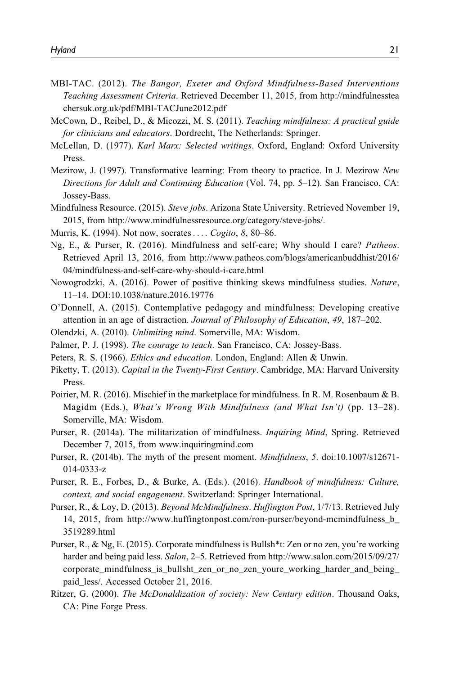- MBI-TAC. (2012). The Bangor, Exeter and Oxford Mindfulness-Based Interventions Teaching Assessment Criteria. Retrieved December 11, 2015, from [http://mindfulnesstea](http://mindfulnessteachersuk.org.uk/pdf/MBI-TACJune2012.pdf) [chersuk.org.uk/pdf/MBI-TACJune2012.pdf](http://mindfulnessteachersuk.org.uk/pdf/MBI-TACJune2012.pdf)
- McCown, D., Reibel, D., & Micozzi, M. S. (2011). Teaching mindfulness: A practical guide for clinicians and educators. Dordrecht, The Netherlands: Springer.
- McLellan, D. (1977). Karl Marx: Selected writings. Oxford, England: Oxford University Press.
- Mezirow, J. (1997). Transformative learning: From theory to practice. In J. Mezirow New Directions for Adult and Continuing Education (Vol. 74, pp. 5–12). San Francisco, CA: Jossey-Bass.
- Mindfulness Resource. (2015). Steve jobs. Arizona State University. Retrieved November 19, 2015, from<http://www.mindfulnessresource.org/category/steve-jobs/>.
- Murris, K. (1994). Not now, socrates.... *Cogito*, 8, 80–86.
- Ng, E., & Purser, R. (2016). Mindfulness and self-care; Why should I care? Patheos. Retrieved April 13, 2016, from [http://www.patheos.com/blogs/americanbuddhist/2016/](http://www.patheos.com/blogs/americanbuddhist/2016/04/mindfulness-and-self-care-why-should-i-care.html) [04/mindfulness-and-self-care-why-should-i-care.html](http://www.patheos.com/blogs/americanbuddhist/2016/04/mindfulness-and-self-care-why-should-i-care.html)
- Nowogrodzki, A. (2016). Power of positive thinking skews mindfulness studies. Nature, 11–14. DOI:10.1038/nature.2016.19776
- O'Donnell, A. (2015). Contemplative pedagogy and mindfulness: Developing creative attention in an age of distraction. Journal of Philosophy of Education, 49, 187–202.
- Olendzki, A. (2010). Unlimiting mind. Somerville, MA: Wisdom.
- Palmer, P. J. (1998). The courage to teach. San Francisco, CA: Jossey-Bass.
- Peters, R. S. (1966). *Ethics and education*. London, England: Allen & Unwin.
- Piketty, T. (2013). Capital in the Twenty-First Century. Cambridge, MA: Harvard University Press.
- Poirier, M. R. (2016). Mischief in the marketplace for mindfulness. In R. M. Rosenbaum & B. Magidm (Eds.), What's Wrong With Mindfulness (and What Isn't) (pp. 13-28). Somerville, MA: Wisdom.
- Purser, R. (2014a). The militarization of mindfulness. *Inquiring Mind*, Spring. Retrieved December 7, 2015, from [www.inquiringmind.com](http://www.inquiringmind.com)
- Purser, R. (2014b). The myth of the present moment. Mindfulness, 5. doi:10.1007/s12671- 014-0333-z
- Purser, R. E., Forbes, D., & Burke, A. (Eds.). (2016). Handbook of mindfulness: Culture, context, and social engagement. Switzerland: Springer International.
- Purser, R., & Loy, D. (2013). Beyond McMindfulness. Huffington Post, 1/7/13. Retrieved July 14, 2015, from [http://www.huffingtonpost.com/ron-purser/beyond-mcmindfulness\\_b\\_](http://www.huffingtonpost.com/ron-purser/beyond-mcmindfulness_b_3519289.html) [3519289.html](http://www.huffingtonpost.com/ron-purser/beyond-mcmindfulness_b_3519289.html)
- Purser, R., & Ng, E. (2015). Corporate mindfulness is Bullsh\*t: Zen or no zen, you're working harder and being paid less. Salon, 2–5. Retrieved from [http://www.salon.com/2015/09/27/](http://www.salon.com/2015/09/27/corporate_mindfulness_is_bullsht_zen_or_no_zen_youre_working_harder_and_being_paid_less/) [corporate\\_mindfulness\\_is\\_bullsht\\_zen\\_or\\_no\\_zen\\_youre\\_working\\_harder\\_and\\_being\\_](http://www.salon.com/2015/09/27/corporate_mindfulness_is_bullsht_zen_or_no_zen_youre_working_harder_and_being_paid_less/) paid less/. Accessed October 21, 2016.
- Ritzer, G. (2000). The McDonaldization of society: New Century edition. Thousand Oaks, CA: Pine Forge Press.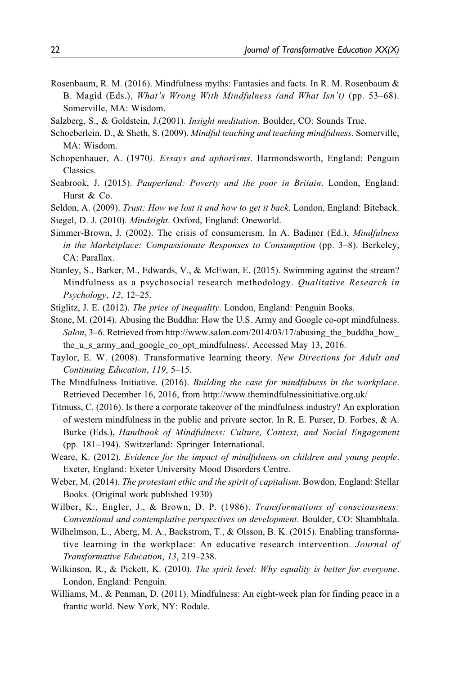- Rosenbaum, R. M. (2016). Mindfulness myths: Fantasies and facts. In R. M. Rosenbaum & B. Magid (Eds.), What's Wrong With Mindfulness (and What Isn't) (pp. 53–68). Somerville, MA: Wisdom.
- Salzberg, S., & Goldstein, J.(2001). Insight meditation. Boulder, CO: Sounds True.
- Schoeberlein, D., & Sheth, S. (2009). Mindful teaching and teaching mindfulness. Somerville, MA: Wisdom.
- Schopenhauer, A. (1970). Essays and aphorisms. Harmondsworth, England: Penguin Classics.
- Seabrook, J. (2015). Pauperland: Poverty and the poor in Britain. London, England: Hurst & Co.
- Seldon, A. (2009). Trust: How we lost it and how to get it back. London, England: Biteback. Siegel, D. J. (2010). Mindsight. Oxford, England: Oneworld.
- Simmer-Brown, J. (2002). The crisis of consumerism. In A. Badiner (Ed.), Mindfulness in the Marketplace: Compassionate Responses to Consumption (pp. 3–8). Berkeley, CA: Parallax.
- Stanley, S., Barker, M., Edwards, V., & McEwan, E. (2015). Swimming against the stream? Mindfulness as a psychosocial research methodology. Qualitative Research in Psychology, 12, 12–25.
- Stiglitz, J. E. (2012). The price of inequality. London, England: Penguin Books.
- Stone, M. (2014). Abusing the Buddha: How the U.S. Army and Google co-opt mindfulness. Salon, 3–6. Retrieved from [http://www.salon.com/2014/03/17/abusing\\_the\\_buddha\\_how\\_](http://www.salon.com/2014/03/17/abusing_the_buddha_how_the_u_s_army_and_google_co_opt_mindfulness/) [the\\_u\\_s\\_army\\_and\\_google\\_co\\_opt\\_mindfulness/.](http://www.salon.com/2014/03/17/abusing_the_buddha_how_the_u_s_army_and_google_co_opt_mindfulness/) Accessed May 13, 2016.
- Taylor, E. W. (2008). Transformative learning theory. New Directions for Adult and Continuing Education, 119, 5–15.
- The Mindfulness Initiative. (2016). Building the case for mindfulness in the workplace. Retrieved December 16, 2016, from<http://www.themindfulnessinitiative.org.uk/>
- Titmuss, C. (2016). Is there a corporate takeover of the mindfulness industry? An exploration of western mindfulness in the public and private sector. In R. E. Purser, D. Forbes, & A. Burke (Eds.), Handbook of Mindfulness: Culture, Context, and Social Engagement (pp. 181–194). Switzerland: Springer International.
- Weare, K. (2012). Evidence for the impact of mindfulness on children and young people. Exeter, England: Exeter University Mood Disorders Centre.
- Weber, M. (2014). The protestant ethic and the spirit of capitalism. Bowdon, England: Stellar Books. (Original work published 1930)
- Wilber, K., Engler, J., & Brown, D. P. (1986). Transformations of consciousness: Conventional and contemplative perspectives on development. Boulder, CO: Shambhala.
- Wilhelmson, L., Aberg, M. A., Backstrom, T., & Olsson, B. K. (2015). Enabling transformative learning in the workplace: An educative research intervention. Journal of Transformative Education, 13, 219–238.
- Wilkinson, R., & Pickett, K. (2010). The spirit level: Why equality is better for everyone. London, England: Penguin.
- Williams, M., & Penman, D. (2011). Mindfulness: An eight-week plan for finding peace in a frantic world. New York, NY: Rodale.